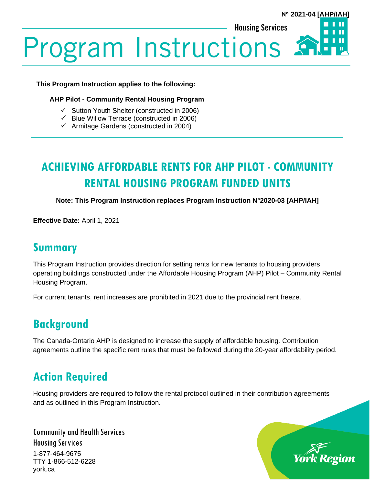**Housing Services** 



# **Program Instructions:**

#### **This Program Instruction applies to the following:**

#### **AHP Pilot - Community Rental Housing Program**

- ✓ Sutton Youth Shelter (constructed in 2006)
- $\checkmark$  Blue Willow Terrace (constructed in 2006)
- $\checkmark$  Armitage Gardens (constructed in 2004)

## **ACHIEVING AFFORDABLE RENTS FOR AHP PILOT - COMMUNITY RENTAL HOUSING PROGRAM FUNDED UNITS**

**Note: This Program Instruction replaces Program Instruction N°2020-03 [AHP/IAH]**

**Effective Date:** April 1, 2021

#### **Summary**

This Program Instruction provides direction for setting rents for new tenants to housing providers operating buildings constructed under the Affordable Housing Program (AHP) Pilot – Community Rental Housing Program.

For current tenants, rent increases are prohibited in 2021 due to the provincial rent freeze.

## **Background**

The Canada-Ontario AHP is designed to increase the supply of affordable housing. Contribution agreements outline the specific rent rules that must be followed during the 20-year affordability period.

### **Action Required**

Housing providers are required to follow the rental protocol outlined in their contribution agreements and as outlined in this Program Instruction.

Community and Health Services Housing Services 1-877-464-9675 TTY 1-866-512-6228 york.ca

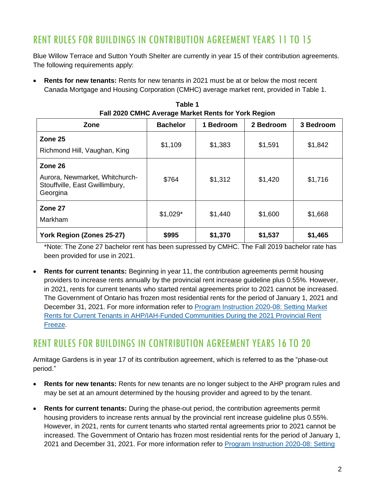#### RENT RULES FOR BUILDINGS IN CONTRIBUTION AGREEMENT YEARS 11 TO 15

Blue Willow Terrace and Sutton Youth Shelter are currently in year 15 of their contribution agreements. The following requirements apply:

• **Rents for new tenants:** Rents for new tenants in 2021 must be at or below the most recent Canada Mortgage and Housing Corporation (CMHC) average market rent, provided in Table 1.

| <b>1 an EVED OMNO AVGING MARKET NORS TOF TORN ROGPORT</b>                               |                 |           |           |           |
|-----------------------------------------------------------------------------------------|-----------------|-----------|-----------|-----------|
| Zone                                                                                    | <b>Bachelor</b> | 1 Bedroom | 2 Bedroom | 3 Bedroom |
| Zone 25<br>Richmond Hill, Vaughan, King                                                 | \$1,109         | \$1,383   | \$1,591   | \$1,842   |
| Zone 26<br>Aurora, Newmarket, Whitchurch-<br>Stouffville, East Gwillimbury,<br>Georgina | \$764           | \$1,312   | \$1,420   | \$1,716   |
| Zone 27<br>Markham                                                                      | $$1,029*$       | \$1,440   | \$1,600   | \$1,668   |
| York Region (Zones 25-27)                                                               | \$995           | \$1,370   | \$1,537   | \$1,465   |

**Table 1 Fall 2020 CMHC Average Market Rents for York Region**

\*Note: The Zone 27 bachelor rent has been supressed by CMHC. The Fall 2019 bachelor rate has been provided for use in 2021.

• **Rents for current tenants:** Beginning in year 11, the contribution agreements permit housing providers to increase rents annually by the provincial rent increase guideline plus 0.55%. However, in 2021, rents for current tenants who started rental agreements prior to 2021 cannot be increased. The Government of Ontario has frozen most residential rents for the period of January 1, 2021 and December 31, 2021. For more information refer to [Program Instruction 2020-08: Setting Market](https://www.york.ca/wps/wcm/connect/yorkpublic/814ff13e-2355-4481-8320-a20941bd3a17/PI-2020-08-Implementing-the-2021-Provincial-Rent-Freeze-for-Current-Market-Rent-Tenants-in-AHP-IAH-Funded-Communities.pdf?MOD=AJPERES&CVID=npTz1ZR)  [Rents for Current Tenants in AHP/IAH-Funded Communities During the 2021 Provincial Rent](https://www.york.ca/wps/wcm/connect/yorkpublic/814ff13e-2355-4481-8320-a20941bd3a17/PI-2020-08-Implementing-the-2021-Provincial-Rent-Freeze-for-Current-Market-Rent-Tenants-in-AHP-IAH-Funded-Communities.pdf?MOD=AJPERES&CVID=npTz1ZR)  [Freeze.](https://www.york.ca/wps/wcm/connect/yorkpublic/814ff13e-2355-4481-8320-a20941bd3a17/PI-2020-08-Implementing-the-2021-Provincial-Rent-Freeze-for-Current-Market-Rent-Tenants-in-AHP-IAH-Funded-Communities.pdf?MOD=AJPERES&CVID=npTz1ZR)

#### RENT RULES FOR BUILDINGS IN CONTRIBUTION AGREEMENT YEARS 16 TO 20

Armitage Gardens is in year 17 of its contribution agreement, which is referred to as the "phase-out period."

- **Rents for new tenants:** Rents for new tenants are no longer subject to the AHP program rules and may be set at an amount determined by the housing provider and agreed to by the tenant.
- **Rents for current tenants:** During the phase-out period, the contribution agreements permit housing providers to increase rents annual by the provincial rent increase guideline plus 0.55%. However, in 2021, rents for current tenants who started rental agreements prior to 2021 cannot be increased. The Government of Ontario has frozen most residential rents for the period of January 1, 2021 and December 31, 2021. For more information refer to [Program Instruction 2020-08: Setting](https://www.york.ca/wps/wcm/connect/yorkpublic/814ff13e-2355-4481-8320-a20941bd3a17/PI-2020-08-Implementing-the-2021-Provincial-Rent-Freeze-for-Current-Market-Rent-Tenants-in-AHP-IAH-Funded-Communities.pdf?MOD=AJPERES&CVID=npTz1ZR)